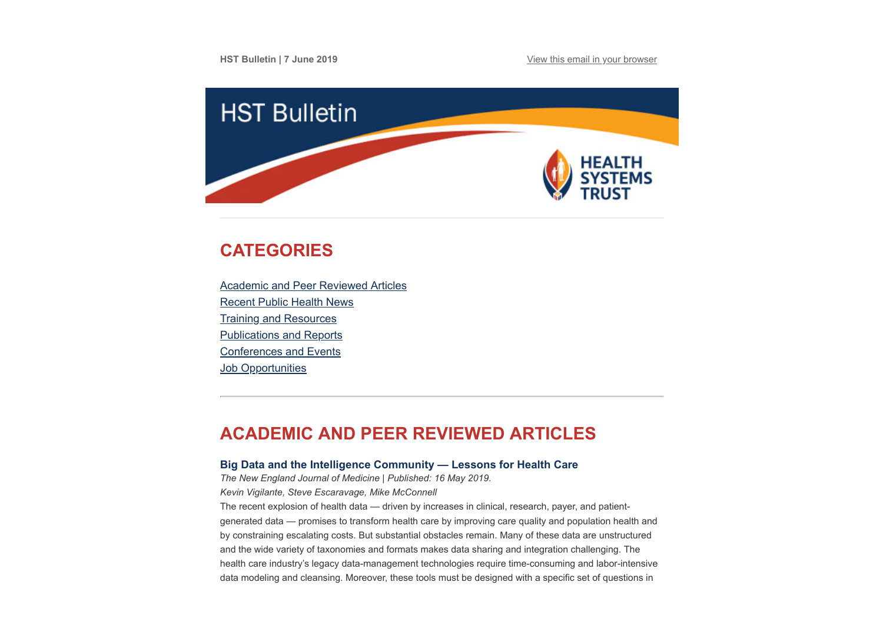**HST Bulletin | 7 June 2019 [View this email in your browser](https://mailchi.mp/7a8cb7aa083a/hst-bulletin-21-april-765137?e=[UNIQID])** 



# <span id="page-0-1"></span>**CATEGORIES**

[Academic and Peer Reviewed Articles](#page-0-0) [Recent Public Health News](#page-2-0) [Training and Resources](#page-3-0) [Publications and Reports](#page-4-0) [Conferences and Events](#page-4-1) **Job Opportunities** 

# <span id="page-0-0"></span>**ACADEMIC AND PEER REVIEWED ARTICLES**

## **[Big Data and the Intelligence Community — Lessons for Health Care](https://www.nejm.org/doi/full/10.1056/NEJMp1815418)**

*The New England Journal of Medicine | Published: 16 May 2019.*

*Kevin Vigilante, Steve Escaravage, Mike McConnell*

The recent explosion of health data — driven by increases in clinical, research, payer, and patientgenerated data — promises to transform health care by improving care quality and population health and by constraining escalating costs. But substantial obstacles remain. Many of these data are unstructured and the wide variety of taxonomies and formats makes data sharing and integration challenging. The health care industry's legacy data-management technologies require time-consuming and labor-intensive data modeling and cleansing. Moreover, these tools must be designed with a specific set of questions in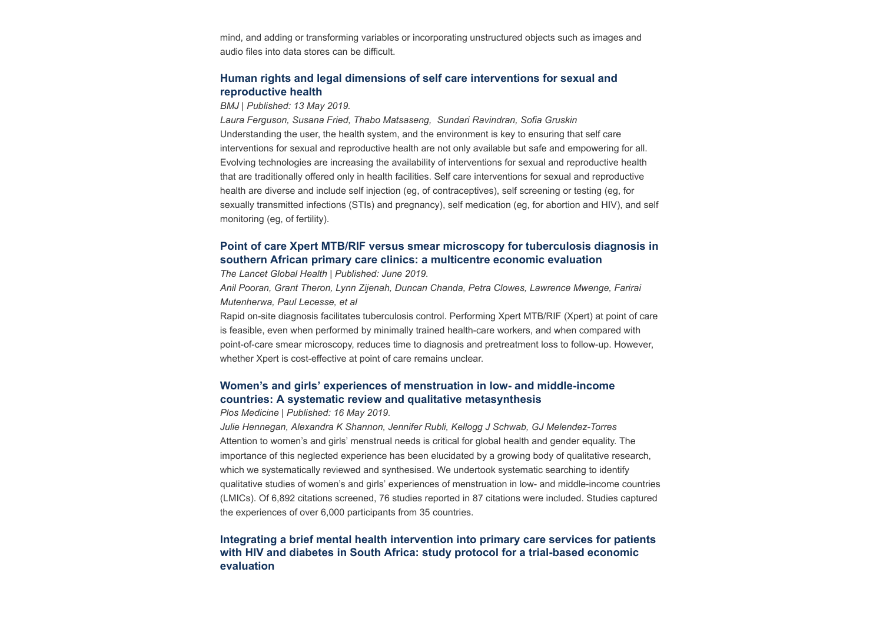mind, and adding or transforming variables or incorporating unstructured objects such as images and audio files into data stores can be difficult.

### **[Human rights and legal dimensions of self care interventions for sexual and](https://www.bmj.com/content/365/bmj.l1941) reproductive health**

*BMJ | Published: 13 May 2019.*

*Laura Ferguson, Susana Fried, Thabo Matsaseng, Sundari Ravindran, Sofia Gruskin* Understanding the user, the health system, and the environment is key to ensuring that self care interventions for sexual and reproductive health are not only available but safe and empowering for all. Evolving technologies are increasing the availability of interventions for sexual and reproductive health that are traditionally offered only in health facilities. Self care interventions for sexual and reproductive health are diverse and include self injection (eg, of contraceptives), self screening or testing (eg, for sexually transmitted infections (STIs) and pregnancy), self medication (eg, for abortion and HIV), and self monitoring (eg, of fertility).

### **[Point of care Xpert MTB/RIF versus smear microscopy for tuberculosis diagnosis in](https://www.thelancet.com/journals/langlo/article/PIIS2214-109X(19)30164-0/fulltext) southern African primary care clinics: a multicentre economic evaluation**

*The Lancet Global Health | Published: June 2019.*

*Anil Pooran, Grant Theron, Lynn Zijenah, Duncan Chanda, Petra Clowes, Lawrence Mwenge, Farirai Mutenherwa, Paul Lecesse, et al*

Rapid on-site diagnosis facilitates tuberculosis control. Performing Xpert MTB/RIF (Xpert) at point of care is feasible, even when performed by minimally trained health-care workers, and when compared with point-of-care smear microscopy, reduces time to diagnosis and pretreatment loss to follow-up. However, whether Xpert is cost-effective at point of care remains unclear.

### **[Women's and girls' experiences of menstruation in low- and middle-income](https://journals.plos.org/plosmedicine/article?id=10.1371/journal.pmed.1002803) countries: A systematic review and qualitative metasynthesis**

#### *Plos Medicine | Published: 16 May 2019.*

*Julie Hennegan, Alexandra K Shannon, Jennifer Rubli, Kellogg J Schwab, GJ Melendez-Torres* Attention to women's and girls' menstrual needs is critical for global health and gender equality. The importance of this neglected experience has been elucidated by a growing body of qualitative research, which we systematically reviewed and synthesised. We undertook systematic searching to identify qualitative studies of women's and girls' experiences of menstruation in low- and middle-income countries (LMICs). Of 6,892 citations screened, 76 studies reported in 87 citations were included. Studies captured the experiences of over 6,000 participants from 35 countries.

## **[Integrating a brief mental health intervention into primary care services for patients](https://bmjopen.bmj.com/content/9/5/e026973) with HIV and diabetes in South Africa: study protocol for a trial-based economic evaluation**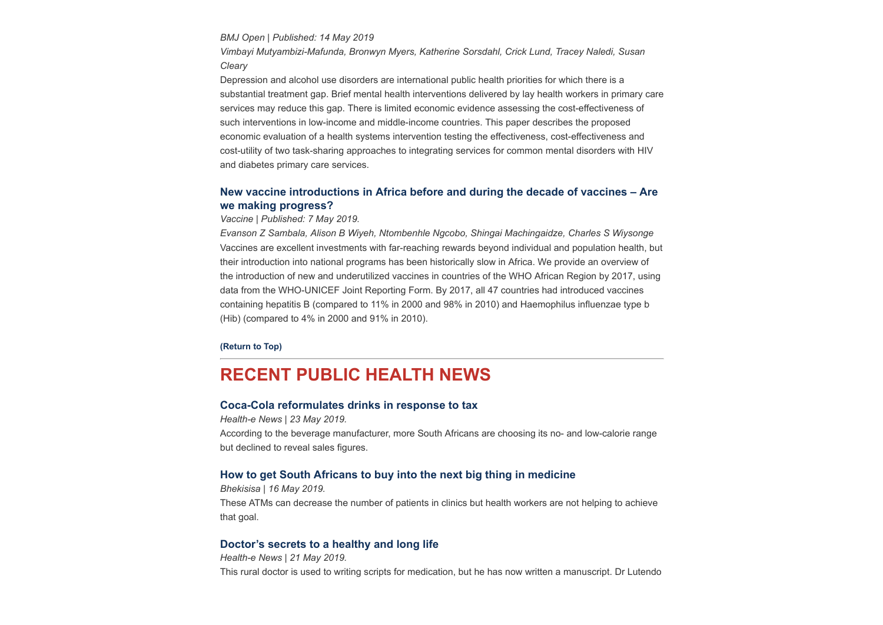*BMJ Open | Published: 14 May 2019*

*Vimbayi Mutyambizi-Mafunda, Bronwyn Myers, Katherine Sorsdahl, Crick Lund, Tracey Naledi, Susan Cleary*

Depression and alcohol use disorders are international public health priorities for which there is a substantial treatment gap. Brief mental health interventions delivered by lay health workers in primary care services may reduce this gap. There is limited economic evidence assessing the cost-effectiveness of such interventions in low-income and middle-income countries. This paper describes the proposed economic evaluation of a health systems intervention testing the effectiveness, cost-effectiveness and cost-utility of two task-sharing approaches to integrating services for common mental disorders with HIV and diabetes primary care services.

### **[New vaccine introductions in Africa before and during the decade of vaccines – Are](https://www.sciencedirect.com/science/article/pii/S0264410X19305936?via%3Dihub%20%C2%A0) we making progress?**

*Vaccine | Published: 7 May 2019.*

*Evanson Z Sambala, Alison B Wiyeh, Ntombenhle Ngcobo, Shingai Machingaidze, Charles S Wiysonge* Vaccines are excellent investments with far-reaching rewards beyond individual and population health, but their introduction into national programs has been historically slow in Africa. We provide an overview of the introduction of new and underutilized vaccines in countries of the WHO African Region by 2017, using data from the WHO-UNICEF Joint Reporting Form. By 2017, all 47 countries had introduced vaccines containing hepatitis B (compared to 11% in 2000 and 98% in 2010) and Haemophilus influenzae type b (Hib) (compared to 4% in 2000 and 91% in 2010).

#### **[\(Return to Top\)](#page-0-1)**

## <span id="page-2-0"></span>**RECENT PUBLIC HEALTH NEWS**

#### **[Coca-Cola reformulates drinks in response to tax](https://www.health-e.org.za/2019/05/23/coca-cola-reformulates-drinks-following-tax/)**

*Health-e News | 23 May 2019.* According to the beverage manufacturer, more South Africans are choosing its no- and low-calorie range but declined to reveal sales figures.

### **[How to get South Africans to buy into the next big thing in medicine](https://bhekisisa.org/article/2019-05-16-00-medicine-atm-machine-south-africa-pharmacy-dispensing-unit-one-year)**

*Bhekisisa | 16 May 2019.*  These ATMs can decrease the number of patients in clinics but health workers are not helping to achieve that goal.

#### **[Doctor's secrets to a healthy and long life](https://www.health-e.org.za/2019/05/21/doctors-secrets-to-a-healthy-and-long-life/)**

*Health-e News | 21 May 2019.* This rural doctor is used to writing scripts for medication, but he has now written a manuscript. Dr Lutendo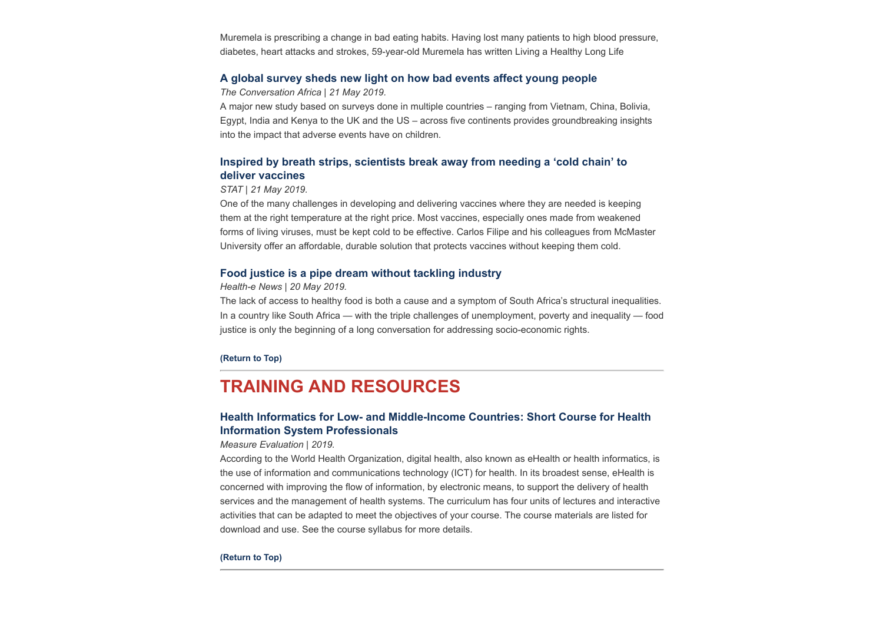Muremela is prescribing a change in bad eating habits. Having lost many patients to high blood pressure, diabetes, heart attacks and strokes, 59-year-old Muremela has written Living a Healthy Long Life

#### **[A global survey sheds new light on how bad events affect young people](https://theconversation.com/a-global-survey-sheds-new-light-on-how-bad-events-affect-young-people-117337)**

*The Conversation Africa | 21 May 2019.*

A major new study based on surveys done in multiple countries – ranging from Vietnam, China, Bolivia, Egypt, India and Kenya to the UK and the US – across five continents provides groundbreaking insights into the impact that adverse events have on children.

## **[Inspired by breath strips, scientists break away from needing a 'cold chain' to](https://www.statnews.com/2019/05/21/scientists-break-away-cold-chain-deliver-vaccines/?utm_source=STAT+Newsletters&utm_campaign=9a24be7205-Pharmalot&utm_medium=email&utm_term=0_8cab1d7961-9a24be7205-149648021) deliver vaccines**

#### *STAT | 21 May 2019.*

One of the many challenges in developing and delivering vaccines where they are needed is keeping them at the right temperature at the right price. Most vaccines, especially ones made from weakened forms of living viruses, must be kept cold to be effective. Carlos Filipe and his colleagues from McMaster University offer an affordable, durable solution that protects vaccines without keeping them cold.

#### **[Food justice is a pipe dream without tackling industry](https://www.health-e.org.za/2019/05/20/food-justice-is-a-pipe-dream-without-tackling-industry/)**

#### *Health-e News | 20 May 2019.*

The lack of access to healthy food is both a cause and a symptom of South Africa's structural inequalities. In a country like South Africa — with the triple challenges of unemployment, poverty and inequality — food justice is only the beginning of a long conversation for addressing socio-economic rights.

#### **[\(Return to Top\)](#page-0-1)**

## <span id="page-3-0"></span>**TRAINING AND RESOURCES**

### **[Health Informatics for Low- and Middle-Income Countries: Short Course for Health](https://www.measureevaluation.org/resources/health-informatics-for-low-and-middle-income-countries-short-course-for-health-information-system-professionals) Information System Professionals**

#### *Measure Evaluation | 2019.*

According to the World Health Organization, digital health, also known as eHealth or health informatics, is the use of information and communications technology (ICT) for health. In its broadest sense, eHealth is concerned with improving the flow of information, by electronic means, to support the delivery of health services and the management of health systems. The curriculum has four units of lectures and interactive activities that can be adapted to meet the objectives of your course. The course materials are listed for download and use. See the course syllabus for more details.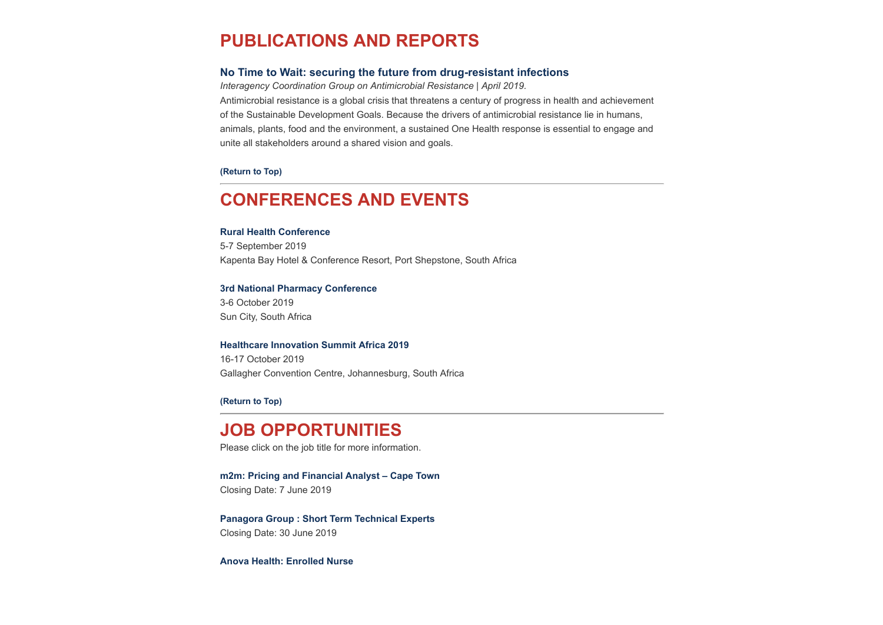# <span id="page-4-0"></span>**PUBLICATIONS AND REPORTS**

### **[No Time to Wait: securing the future from drug-resistant infections](https://www.hst.org.za/publications/NonHST%20Publications/No%20time%20to%20wait.pdf)**

*Interagency Coordination Group on Antimicrobial Resistance | April 2019.* Antimicrobial resistance is a global crisis that threatens a century of progress in health and achievement of the Sustainable Development Goals. Because the drivers of antimicrobial resistance lie in humans, animals, plants, food and the environment, a sustained One Health response is essential to engage and unite all stakeholders around a shared vision and goals.

**[\(Return to Top\)](#page-0-1)**

# <span id="page-4-1"></span>**CONFERENCES AND EVENTS**

#### **[Rural Health Conference](http://www.ruralhealthconference.org.za/)**

5-7 September 2019 Kapenta Bay Hotel & Conference Resort, Port Shepstone, South Africa

#### **[3rd National Pharmacy Conference](https://www.sapcconference.za.org/)**

3-6 October 2019 Sun City, South Africa

#### **[Healthcare Innovation Summit Africa 2019](https://www.hst.org.za/Lists/HST%20Events/DispForm.aspx?ID=57&Source=https%3A%2F%2Fwww%2Ehst%2Eorg%2Eza%2FLists%2FHST%2520Events%2Fcalendar%2Easpx)**

16-17 October 2019 Gallagher Convention Centre, Johannesburg, South Africa

**[\(Return to Top\)](#page-0-1)**

# **JOB OPPORTUNITIES**

Please click on the job title for more information.

**[m2m: Pricing and Financial Analyst – Cape Town](http://www.ngopulse.org/opportunity/2019/05/23/m2m-pricing-and-financial-analyst-%E2%80%93-cape-town)** Closing Date: 7 June 2019

**[Panagora Group : Short Term Technical Experts](http://www.ngopulse.org/opportunity/2019/02/25/panagora-group-short-term-technical-experts)** Closing Date: 30 June 2019

**[Anova Health: Enrolled Nurse](https://www.anovahealth.co.za/vacancies/enrolled-nurse/)**